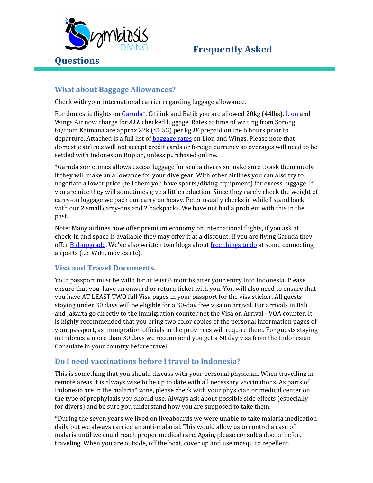

#### **What about Baggage Allowances?**

Check with your international carrier regarding luggage allowance.

For domestic flights on [Garuda](https://www.garuda-indonesia.com/sa/en/garuda-indonesia-experience/on-ground/baggage/index.page)\*, Citilink and Batik you are allowed 20kg (44lbs). [Lion](https://secure2.lionair.co.id/) and Wings Air now charge for *ALL* checked luggage. Rates at time of writing from Sorong to/from Kaimana are approx 22k (\$1.53) per kg *IF* prepaid online 6 hours prior to departure. Attached is a full list of [baggage](http://www.lionair.co.id/lion-experience/prepaid-baggage) rates on Lion and Wings. Please note that domestic airlines will not accept credit cards or foreign currency so overages will need to be settled with Indonesian Rupiah, unless purchased online.

\*Garuda sometimes allows excess luggage for scuba divers so make sure to ask them nicely if they will make an allowance for your dive gear. With other airlines you can also try to negotiate a lower price (tell them you have sports/diving equipment) for excess luggage. If you are nice they will sometimes give a little reduction. Since they rarely check the weight of carry-on luggage we pack our carry on heavy. Peter usually checks in while I stand back with our 2 small carry-ons and 2 backpacks. We have not had a problem with this in the past.

Note: Many airlines now offer premium economy on international flights, if you ask at check-in and space is available they may offer it at a discount. If you are flying Garuda they offer **[Bid-upgrade](https://www.garuda-indonesia.com/id/en/special-offers/bid-upgrade.page)**. We've also written two blogs about free [things](http://adelaar-cruises.com/more-travel-bargains-free-asking/) to do at some connecting airports (i.e. WiFi, movies etc).

#### **Visa and Travel Documents.**

Your passport must be valid for at least 6 months after your entry into Indonesia. Please ensure that you have an onward or return ticket with you. You will also need to ensure that you have AT LEAST TWO full Visa pages in your passport for the visa sticker. All guests staying under 30 days will be eligible for a 30-day free visa on arrival. For arrivals in Bali and Jakarta go directly to the immigration counter not the Visa on Arrival - VOA counter. It is highly recommended that you bring two color copies of the personal information pages of your passport, as immigration officials in the provinces will require them. For guests staying in Indonesia more than 30 days we recommend you get a 60 day visa from the Indonesian Consulate in your country before travel.

#### **Do I need vaccinations before I travel to Indonesia?**

This is something that you should discuss with your personal physician. When travelling in remote areas it is always wise to be up to date with all necessary vaccinations. As parts of Indonesia are in the malaria\* zone, please check with your physician or medical center on the type of prophylaxis you should use. Always ask about possible side effects (especially for divers) and be sure you understand how you are supposed to take them.

\*During the seven years we lived on liveaboards we were unable to take malaria medication daily but we always carried an anti-malarial. This would allow us to control a case of malaria until we could reach proper medical care. Again, please consult a doctor before traveling. When you are outside, off the boat, cover up and use mosquito repellent.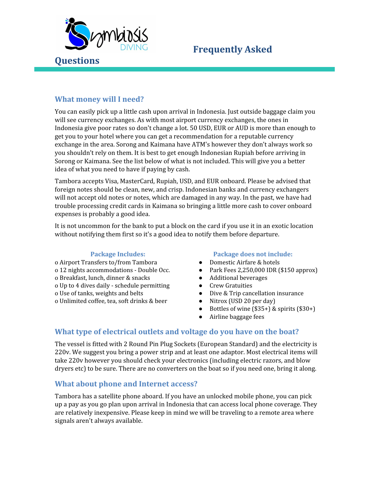

### **What money will I need?**

You can easily pick up a little cash upon arrival in Indonesia. Just outside baggage claim you will see currency exchanges. As with most airport currency exchanges, the ones in Indonesia give poor rates so don't change a lot. 50 USD, EUR or AUD is more than enough to get you to your hotel where you can get a recommendation for a reputable currency exchange in the area. Sorong and Kaimana have ATM's however they don't always work so you shouldn't rely on them. It is best to get enough Indonesian Rupiah before arriving in Sorong or Kaimana. See the list below of what is not included. This will give you a better idea of what you need to have if paying by cash.

Tambora accepts Visa, MasterCard, Rupiah, USD, and EUR onboard. Please be advised that foreign notes should be clean, new, and crisp. Indonesian banks and currency exchangers will not accept old notes or notes, which are damaged in any way. In the past, we have had trouble processing credit cards in Kaimana so bringing a little more cash to cover onboard expenses is probably a good idea.

It is not uncommon for the bank to put a block on the card if you use it in an exotic location without notifying them first so it's a good idea to notify them before departure.

- o Airport Transfers to/from Tambora Domestic Airfare & hotels
- 
- o Breakfast, lunch, dinner & snacks Additional beverages
- o Up to 4 dives daily schedule permitting  $\bullet$  Crew Gratuities
- 
- o Unlimited coffee, tea, soft drinks & beer Nitrox (USD 20 per day)

#### **Package Includes: Package does not include:**

- 
- o 12 nights accommodations Double Occ. Park Fees 2,250,000 IDR (\$150 approx)
	-
	-
- o Use of tanks, weights and belts Dive & Trip cancellation insurance
	-
	- Bottles of wine  $(\$35+)$  & spirits  $(\$30+)$
	- Airline baggage fees

#### **What type of electrical outlets and voltage do you have on the boat?**

The vessel is fitted with 2 Round Pin Plug Sockets (European Standard) and the electricity is 220v. We suggest you bring a power strip and at least one adaptor. Most electrical items will take 220v however you should check your electronics (including electric razors, and blow dryers etc) to be sure. There are no converters on the boat so if you need one, bring it along.

#### **What about phone and Internet access?**

Tambora has a satellite phone aboard. If you have an unlocked mobile phone, you can pick up a pay as you go plan upon arrival in Indonesia that can access local phone coverage. They are relatively inexpensive. Please keep in mind we will be traveling to a remote area where signals aren't always available.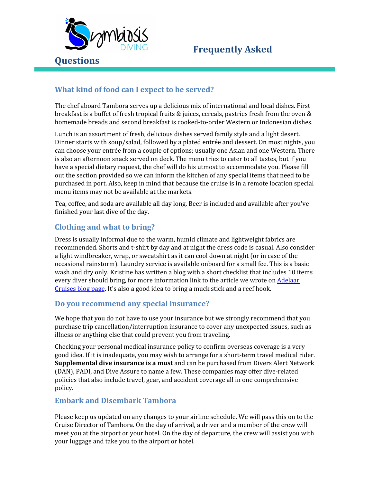

## **What kind of food can I expect to be served?**

The chef aboard Tambora serves up a delicious mix of international and local dishes. First breakfast is a buffet of fresh tropical fruits & juices, cereals, pastries fresh from the oven & homemade breads and second breakfast is cooked-to-order Western or Indonesian dishes.

Lunch is an assortment of fresh, delicious dishes served family style and a light desert. Dinner starts with soup/salad, followed by a plated entrée and dessert. On most nights, you can choose your entrée from a couple of options; usually one Asian and one Western. There is also an afternoon snack served on deck. The menu tries to cater to all tastes, but if you have a special dietary request, the chef will do his utmost to accommodate you. Please fill out the section provided so we can inform the kitchen of any special items that need to be purchased in port. Also, keep in mind that because the cruise is in a remote location special menu items may not be available at the markets.

Tea, coffee, and soda are available all day long. Beer is included and available after you've finished your last dive of the day.

## **Clothing and what to bring?**

Dress is usually informal due to the warm, humid climate and lightweight fabrics are recommended. Shorts and t-shirt by day and at night the dress code is casual. Also consider a light windbreaker, wrap, or sweatshirt as it can cool down at night (or in case of the occasional rainstorm). Laundry service is available onboard for a small fee. This is a basic wash and dry only. Kristine has written a blog with a short checklist that includes 10 items every diver should bring, for more information link to the article we wrote on [Adelaar](http://www.adelaar-cruises.com/pre-dive-checklist-10-tips-for-diving-in-remote-areas/) [Cruises](http://www.adelaar-cruises.com/pre-dive-checklist-10-tips-for-diving-in-remote-areas/) blog page. It's also a good idea to bring a muck stick and a reef hook.

#### **Do you recommend any special insurance?**

We hope that you do not have to use your insurance but we strongly recommend that you purchase trip cancellation/interruption insurance to cover any unexpected issues, such as illness or anything else that could prevent you from traveling.

Checking your personal medical insurance policy to confirm overseas coverage is a very good idea. If it is inadequate, you may wish to arrange for a short-term travel medical rider. **Supplemental dive insurance is a must** and can be purchased from Divers Alert Network (DAN), PADI, and Dive Assure to name a few. These companies may offer dive-related policies that also include travel, gear, and accident coverage all in one comprehensive policy.

#### **Embark and Disembark Tambora**

Please keep us updated on any changes to your airline schedule. We will pass this on to the Cruise Director of Tambora. On the day of arrival, a driver and a member of the crew will meet you at the airport or your hotel. On the day of departure, the crew will assist you with your luggage and take you to the airport or hotel.